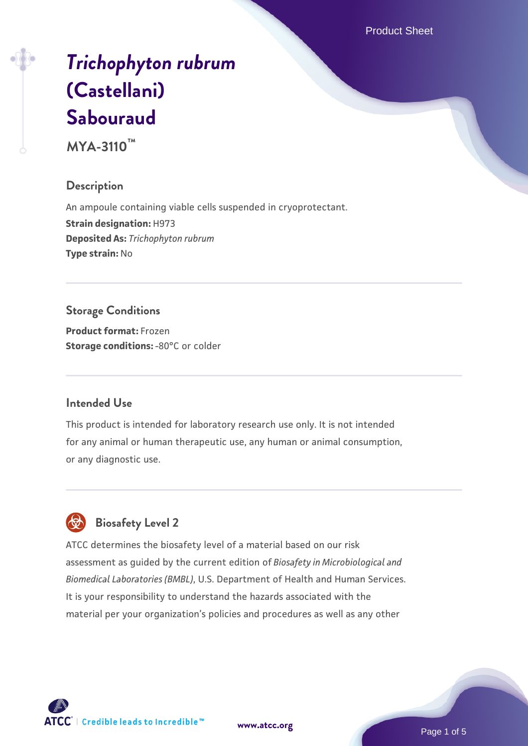Product Sheet

# *[Trichophyton rubrum](https://www.atcc.org/products/mya-3110)* **[\(Castellani\)](https://www.atcc.org/products/mya-3110) [Sabouraud](https://www.atcc.org/products/mya-3110)**

**MYA-3110™**

### **Description**

An ampoule containing viable cells suspended in cryoprotectant. **Strain designation:** H973 **Deposited As:** *Trichophyton rubrum* **Type strain:** No

## **Storage Conditions**

**Product format:** Frozen **Storage conditions: -80°C** or colder

### **Intended Use**

This product is intended for laboratory research use only. It is not intended for any animal or human therapeutic use, any human or animal consumption, or any diagnostic use.



### **Biosafety Level 2**

ATCC determines the biosafety level of a material based on our risk assessment as guided by the current edition of *Biosafety in Microbiological and Biomedical Laboratories (BMBL)*, U.S. Department of Health and Human Services. It is your responsibility to understand the hazards associated with the material per your organization's policies and procedures as well as any other

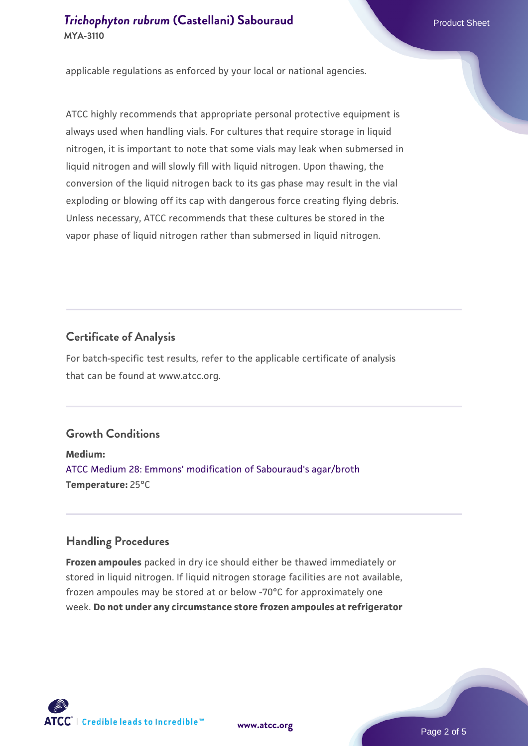### **[Trichophyton rubrum](https://www.atcc.org/products/mya-3110) [\(Castellani\) Sabouraud](https://www.atcc.org/products/mya-3110)** Product Sheet **MYA-3110**

applicable regulations as enforced by your local or national agencies.

ATCC highly recommends that appropriate personal protective equipment is always used when handling vials. For cultures that require storage in liquid nitrogen, it is important to note that some vials may leak when submersed in liquid nitrogen and will slowly fill with liquid nitrogen. Upon thawing, the conversion of the liquid nitrogen back to its gas phase may result in the vial exploding or blowing off its cap with dangerous force creating flying debris. Unless necessary, ATCC recommends that these cultures be stored in the vapor phase of liquid nitrogen rather than submersed in liquid nitrogen.

### **Certificate of Analysis**

For batch-specific test results, refer to the applicable certificate of analysis that can be found at www.atcc.org.

### **Growth Conditions**

**Medium:**  [ATCC Medium 28: Emmons' modification of Sabouraud's agar/broth](https://www.atcc.org/-/media/product-assets/documents/microbial-media-formulations/2/8/atcc-medium-28.pdf?rev=0da0c58cc2a343eeae735016b70809bb) **Temperature:** 25°C

#### **Handling Procedures**

**Frozen ampoules** packed in dry ice should either be thawed immediately or stored in liquid nitrogen. If liquid nitrogen storage facilities are not available, frozen ampoules may be stored at or below -70°C for approximately one week. **Do not under any circumstance store frozen ampoules at refrigerator**

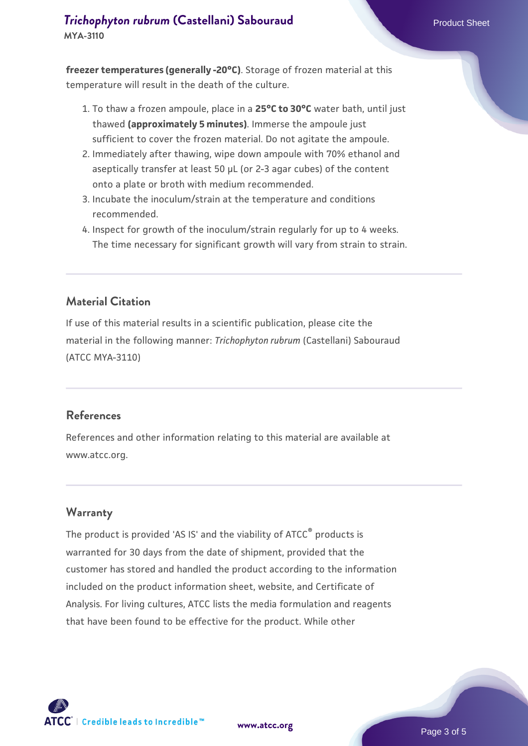# **[Trichophyton rubrum](https://www.atcc.org/products/mya-3110) [\(Castellani\) Sabouraud](https://www.atcc.org/products/mya-3110)** Product Sheet

**MYA-3110**

**freezer temperatures (generally -20°C)**. Storage of frozen material at this temperature will result in the death of the culture.

- 1. To thaw a frozen ampoule, place in a **25°C to 30°C** water bath, until just thawed **(approximately 5 minutes)**. Immerse the ampoule just sufficient to cover the frozen material. Do not agitate the ampoule.
- 2. Immediately after thawing, wipe down ampoule with 70% ethanol and aseptically transfer at least 50 µL (or 2-3 agar cubes) of the content onto a plate or broth with medium recommended.
- 3. Incubate the inoculum/strain at the temperature and conditions recommended.
- 4. Inspect for growth of the inoculum/strain regularly for up to 4 weeks. The time necessary for significant growth will vary from strain to strain.

### **Material Citation**

If use of this material results in a scientific publication, please cite the material in the following manner: *Trichophyton rubrum* (Castellani) Sabouraud (ATCC MYA-3110)

### **References**

References and other information relating to this material are available at www.atcc.org.

### **Warranty**

The product is provided 'AS IS' and the viability of ATCC<sup>®</sup> products is warranted for 30 days from the date of shipment, provided that the customer has stored and handled the product according to the information included on the product information sheet, website, and Certificate of Analysis. For living cultures, ATCC lists the media formulation and reagents that have been found to be effective for the product. While other

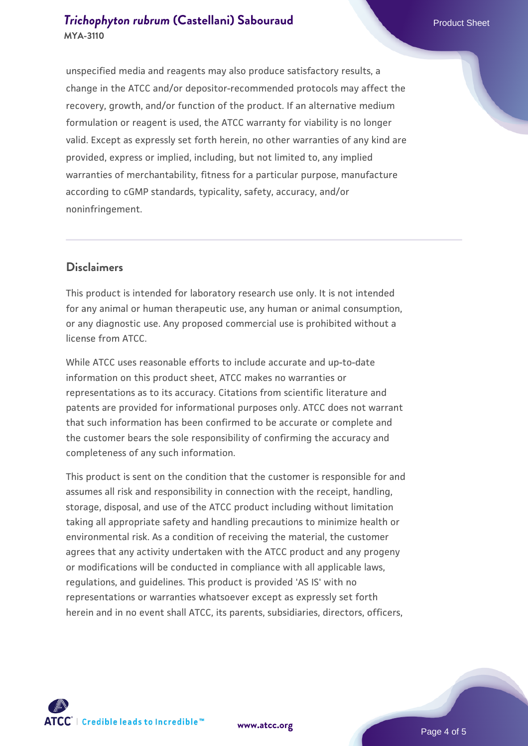unspecified media and reagents may also produce satisfactory results, a change in the ATCC and/or depositor-recommended protocols may affect the recovery, growth, and/or function of the product. If an alternative medium formulation or reagent is used, the ATCC warranty for viability is no longer valid. Except as expressly set forth herein, no other warranties of any kind are provided, express or implied, including, but not limited to, any implied warranties of merchantability, fitness for a particular purpose, manufacture according to cGMP standards, typicality, safety, accuracy, and/or noninfringement.

### **Disclaimers**

This product is intended for laboratory research use only. It is not intended for any animal or human therapeutic use, any human or animal consumption, or any diagnostic use. Any proposed commercial use is prohibited without a license from ATCC.

While ATCC uses reasonable efforts to include accurate and up-to-date information on this product sheet, ATCC makes no warranties or representations as to its accuracy. Citations from scientific literature and patents are provided for informational purposes only. ATCC does not warrant that such information has been confirmed to be accurate or complete and the customer bears the sole responsibility of confirming the accuracy and completeness of any such information.

This product is sent on the condition that the customer is responsible for and assumes all risk and responsibility in connection with the receipt, handling, storage, disposal, and use of the ATCC product including without limitation taking all appropriate safety and handling precautions to minimize health or environmental risk. As a condition of receiving the material, the customer agrees that any activity undertaken with the ATCC product and any progeny or modifications will be conducted in compliance with all applicable laws, regulations, and guidelines. This product is provided 'AS IS' with no representations or warranties whatsoever except as expressly set forth herein and in no event shall ATCC, its parents, subsidiaries, directors, officers,